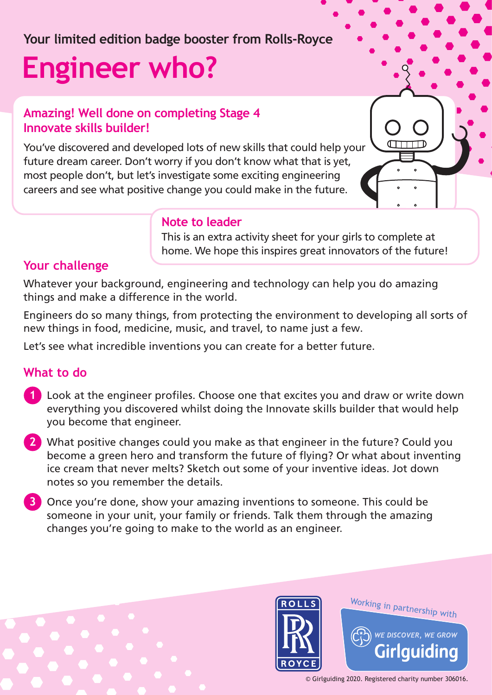## **Your limited edition badge booster from Rolls-Royce**

# **Engineer who?**

#### **Amazing! Well done on completing Stage 4 Innovate skills builder!**

You've discovered and developed lots of new skills that could help your future dream career. Don't worry if you don't know what that is yet, most people don't, but let's investigate some exciting engineering careers and see what positive change you could make in the future.

#### **Note to leader**

This is an extra activity sheet for your girls to complete at home. We hope this inspires great innovators of the future!

#### **Your challenge**

Whatever your background, engineering and technology can help you do amazing things and make a difference in the world.

Engineers do so many things, from protecting the environment to developing all sorts of new things in food, medicine, music, and travel, to name just a few.

Let's see what incredible inventions you can create for a better future.

#### **What to do**

- **1** Look at the engineer profiles. Choose one that excites you and draw or write down everything you discovered whilst doing the Innovate skills builder that would help you become that engineer.
- **2** What positive changes could you make as that engineer in the future? Could you become a green hero and transform the future of flying? Or what about inventing ice cream that never melts? Sketch out some of your inventive ideas. Jot down notes so you remember the details.
- **3** Once you're done, show your amazing inventions to someone. This could be someone in your unit, your family or friends. Talk them through the amazing changes you're going to make to the world as an engineer.





Working in partnership with